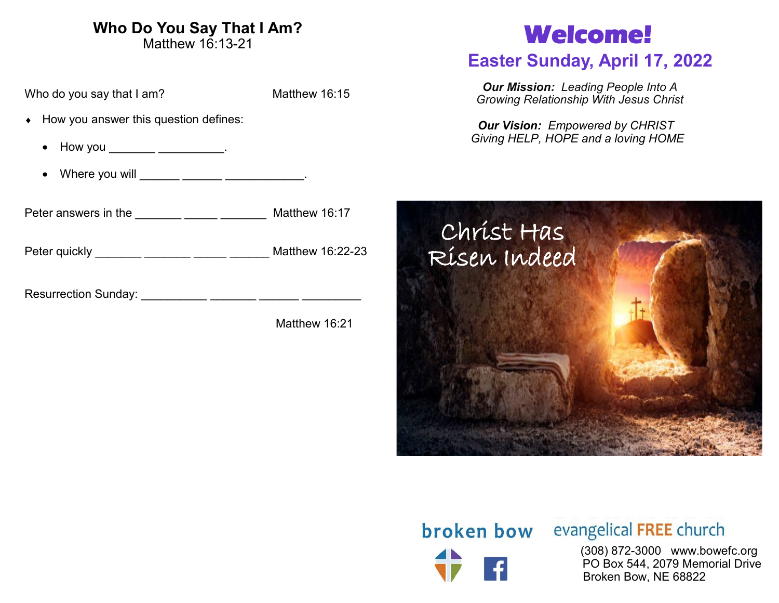# **Who Do You Say That I Am?**

Matthew 16:13-21

Who do you say that I am? Matthew 16:15

- How you answer this question defines:
	- How you \_\_\_\_\_\_\_\_\_\_\_\_\_\_\_\_\_\_.
	- Where you will \_\_\_\_\_\_\_ \_\_\_\_\_\_ \_\_\_\_\_\_\_\_\_\_\_.

Peter answers in the \_\_\_\_\_\_\_ \_\_\_\_\_\_ \_\_\_\_\_\_\_\_ Matthew 16:17

Peter quickly \_\_\_\_\_\_\_\_ \_\_\_\_\_\_\_ \_\_\_\_\_ \_\_\_\_\_\_ Matthew 16:22-23

Resurrection Sunday: \_\_\_\_\_\_\_\_\_\_ \_\_\_\_\_\_\_ \_\_\_\_\_\_ \_\_\_\_\_\_\_\_\_

Matthew 16:21

# **Welcome!**

# **Easter Sunday, April 17, 2022**

*Our Mission: Leading People Into A Growing Relationship With Jesus Christ*

*Our Vision: Empowered by CHRIST Giving HELP, HOPE and a loving HOME*



# **broken bow** evangelical FREE church

 (308) 872-3000 www.bowefc.org PO Box 544, 2079 Memorial Drive Broken Bow, NE 68822